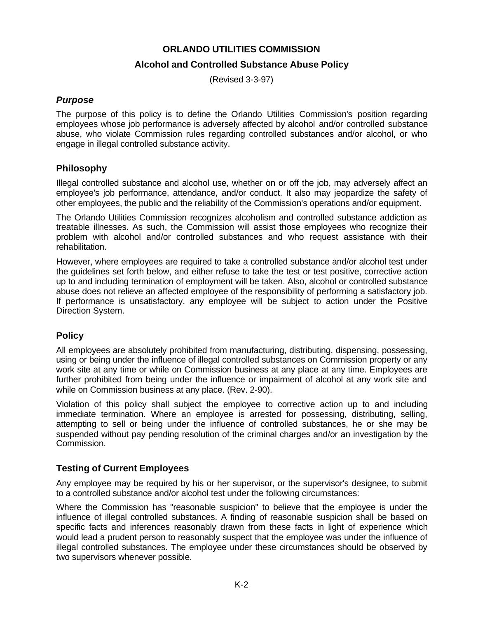## **ORLANDO UTILITIES COMMISSION**

## **Alcohol and Controlled Substance Abuse Policy**

(Revised 3-3-97)

## *Purpose*

The purpose of this policy is to define the Orlando Utilities Commission's position regarding employees whose job performance is adversely affected by alcohol and/or controlled substance abuse, who violate Commission rules regarding controlled substances and/or alcohol, or who engage in illegal controlled substance activity.

#### **Philosophy**

Illegal controlled substance and alcohol use, whether on or off the job, may adversely affect an employee's job performance, attendance, and/or conduct. It also may jeopardize the safety of other employees, the public and the reliability of the Commission's operations and/or equipment.

The Orlando Utilities Commission recognizes alcoholism and controlled substance addiction as treatable illnesses. As such, the Commission will assist those employees who recognize their problem with alcohol and/or controlled substances and who request assistance with their rehabilitation.

However, where employees are required to take a controlled substance and/or alcohol test under the guidelines set forth below, and either refuse to take the test or test positive, corrective action up to and including termination of employment will be taken. Also, alcohol or controlled substance abuse does not relieve an affected employee of the responsibility of performing a satisfactory job. If performance is unsatisfactory, any employee will be subject to action under the Positive Direction System.

## **Policy**

All employees are absolutely prohibited from manufacturing, distributing, dispensing, possessing, using or being under the influence of illegal controlled substances on Commission property or any work site at any time or while on Commission business at any place at any time. Employees are further prohibited from being under the influence or impairment of alcohol at any work site and while on Commission business at any place. (Rev. 2-90).

Violation of this policy shall subject the employee to corrective action up to and including immediate termination. Where an employee is arrested for possessing, distributing, selling, attempting to sell or being under the influence of controlled substances, he or she may be suspended without pay pending resolution of the criminal charges and/or an investigation by the Commission.

## **Testing of Current Employees**

Any employee may be required by his or her supervisor, or the supervisor's designee, to submit to a controlled substance and/or alcohol test under the following circumstances:

Where the Commission has "reasonable suspicion" to believe that the employee is under the influence of illegal controlled substances. A finding of reasonable suspicion shall be based on specific facts and inferences reasonably drawn from these facts in light of experience which would lead a prudent person to reasonably suspect that the employee was under the influence of illegal controlled substances. The employee under these circumstances should be observed by two supervisors whenever possible.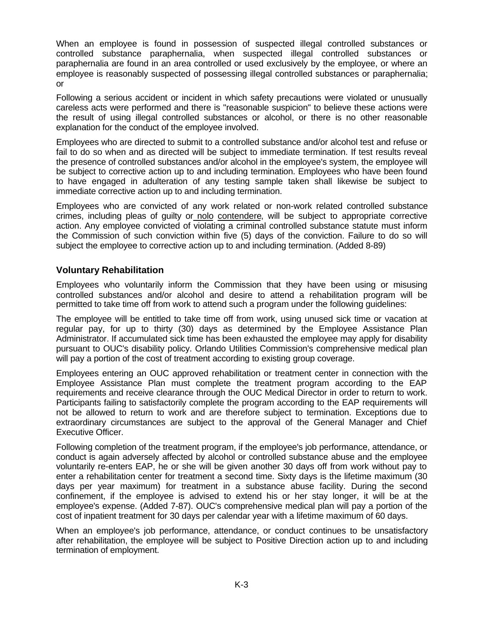When an employee is found in possession of suspected illegal controlled substances or controlled substance paraphernalia, when suspected illegal controlled substances or paraphernalia are found in an area controlled or used exclusively by the employee, or where an employee is reasonably suspected of possessing illegal controlled substances or paraphernalia; or

Following a serious accident or incident in which safety precautions were violated or unusually careless acts were performed and there is "reasonable suspicion" to believe these actions were the result of using illegal controlled substances or alcohol, or there is no other reasonable explanation for the conduct of the employee involved.

Employees who are directed to submit to a controlled substance and/or alcohol test and refuse or fail to do so when and as directed will be subject to immediate termination. If test results reveal the presence of controlled substances and/or alcohol in the employee's system, the employee will be subject to corrective action up to and including termination. Employees who have been found to have engaged in adulteration of any testing sample taken shall likewise be subject to immediate corrective action up to and including termination.

Employees who are convicted of any work related or non-work related controlled substance crimes, including pleas of guilty or nolo contendere, will be subject to appropriate corrective action. Any employee convicted of violating a criminal controlled substance statute must inform the Commission of such conviction within five (5) days of the conviction. Failure to do so will subject the employee to corrective action up to and including termination. (Added 8-89)

## **Voluntary Rehabilitation**

Employees who voluntarily inform the Commission that they have been using or misusing controlled substances and/or alcohol and desire to attend a rehabilitation program will be permitted to take time off from work to attend such a program under the following guidelines:

The employee will be entitled to take time off from work, using unused sick time or vacation at regular pay, for up to thirty (30) days as determined by the Employee Assistance Plan Administrator. If accumulated sick time has been exhausted the employee may apply for disability pursuant to OUC's disability policy. Orlando Utilities Commission's comprehensive medical plan will pay a portion of the cost of treatment according to existing group coverage.

Employees entering an OUC approved rehabilitation or treatment center in connection with the Employee Assistance Plan must complete the treatment program according to the EAP requirements and receive clearance through the OUC Medical Director in order to return to work. Participants failing to satisfactorily complete the program according to the EAP requirements will not be allowed to return to work and are therefore subject to termination. Exceptions due to extraordinary circumstances are subject to the approval of the General Manager and Chief Executive Officer.

Following completion of the treatment program, if the employee's job performance, attendance, or conduct is again adversely affected by alcohol or controlled substance abuse and the employee voluntarily re-enters EAP, he or she will be given another 30 days off from work without pay to enter a rehabilitation center for treatment a second time. Sixty days is the lifetime maximum (30 days per year maximum) for treatment in a substance abuse facility. During the second confinement, if the employee is advised to extend his or her stay longer, it will be at the employee's expense. (Added 7-87). OUC's comprehensive medical plan will pay a portion of the cost of inpatient treatment for 30 days per calendar year with a lifetime maximum of 60 days.

When an employee's job performance, attendance, or conduct continues to be unsatisfactory after rehabilitation, the employee will be subject to Positive Direction action up to and including termination of employment.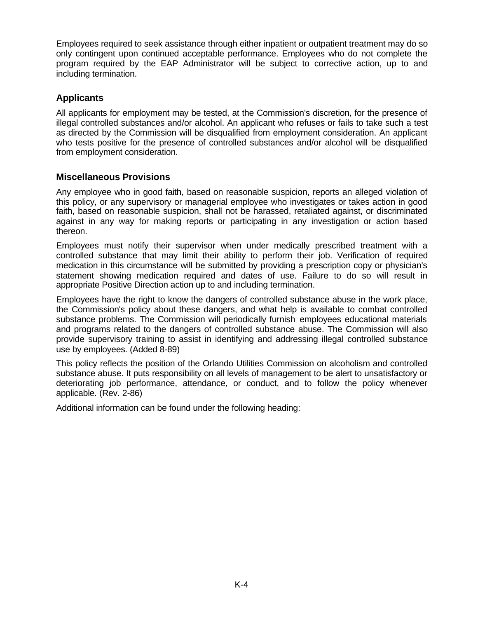Employees required to seek assistance through either inpatient or outpatient treatment may do so only contingent upon continued acceptable performance. Employees who do not complete the program required by the EAP Administrator will be subject to corrective action, up to and including termination.

# **Applicants**

All applicants for employment may be tested, at the Commission's discretion, for the presence of illegal controlled substances and/or alcohol. An applicant who refuses or fails to take such a test as directed by the Commission will be disqualified from employment consideration. An applicant who tests positive for the presence of controlled substances and/or alcohol will be disqualified from employment consideration.

## **Miscellaneous Provisions**

Any employee who in good faith, based on reasonable suspicion, reports an alleged violation of this policy, or any supervisory or managerial employee who investigates or takes action in good faith, based on reasonable suspicion, shall not be harassed, retaliated against, or discriminated against in any way for making reports or participating in any investigation or action based thereon.

Employees must notify their supervisor when under medically prescribed treatment with a controlled substance that may limit their ability to perform their job. Verification of required medication in this circumstance will be submitted by providing a prescription copy or physician's statement showing medication required and dates of use. Failure to do so will result in appropriate Positive Direction action up to and including termination.

Employees have the right to know the dangers of controlled substance abuse in the work place, the Commission's policy about these dangers, and what help is available to combat controlled substance problems. The Commission will periodically furnish employees educational materials and programs related to the dangers of controlled substance abuse. The Commission will also provide supervisory training to assist in identifying and addressing illegal controlled substance use by employees. (Added 8-89)

This policy reflects the position of the Orlando Utilities Commission on alcoholism and controlled substance abuse. It puts responsibility on all levels of management to be alert to unsatisfactory or deteriorating job performance, attendance, or conduct, and to follow the policy whenever applicable. (Rev. 2-86)

Additional information can be found under the following heading: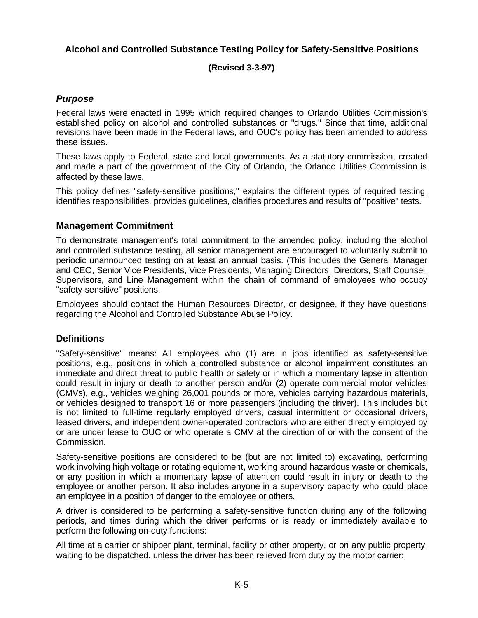# **Alcohol and Controlled Substance Testing Policy for Safety-Sensitive Positions**

#### **(Revised 3-3-97)**

## *Purpose*

Federal laws were enacted in 1995 which required changes to Orlando Utilities Commission's established policy on alcohol and controlled substances or "drugs." Since that time, additional revisions have been made in the Federal laws, and OUC's policy has been amended to address these issues.

These laws apply to Federal, state and local governments. As a statutory commission, created and made a part of the government of the City of Orlando, the Orlando Utilities Commission is affected by these laws.

This policy defines "safety-sensitive positions," explains the different types of required testing, identifies responsibilities, provides guidelines, clarifies procedures and results of "positive" tests.

#### **Management Commitment**

To demonstrate management's total commitment to the amended policy, including the alcohol and controlled substance testing, all senior management are encouraged to voluntarily submit to periodic unannounced testing on at least an annual basis. (This includes the General Manager and CEO, Senior Vice Presidents, Vice Presidents, Managing Directors, Directors, Staff Counsel, Supervisors, and Line Management within the chain of command of employees who occupy "safety-sensitive" positions.

Employees should contact the Human Resources Director, or designee, if they have questions regarding the Alcohol and Controlled Substance Abuse Policy.

#### **Definitions**

"Safety-sensitive" means: All employees who (1) are in jobs identified as safety-sensitive positions, e.g., positions in which a controlled substance or alcohol impairment constitutes an immediate and direct threat to public health or safety or in which a momentary lapse in attention could result in injury or death to another person and/or (2) operate commercial motor vehicles (CMVs), e.g., vehicles weighing 26,001 pounds or more, vehicles carrying hazardous materials, or vehicles designed to transport 16 or more passengers (including the driver). This includes but is not limited to full-time regularly employed drivers, casual intermittent or occasional drivers, leased drivers, and independent owner-operated contractors who are either directly employed by or are under lease to OUC or who operate a CMV at the direction of or with the consent of the Commission.

Safety-sensitive positions are considered to be (but are not limited to) excavating, performing work involving high voltage or rotating equipment, working around hazardous waste or chemicals, or any position in which a momentary lapse of attention could result in injury or death to the employee or another person. It also includes anyone in a supervisory capacity who could place an employee in a position of danger to the employee or others.

A driver is considered to be performing a safety-sensitive function during any of the following periods, and times during which the driver performs or is ready or immediately available to perform the following on-duty functions:

All time at a carrier or shipper plant, terminal, facility or other property, or on any public property, waiting to be dispatched, unless the driver has been relieved from duty by the motor carrier;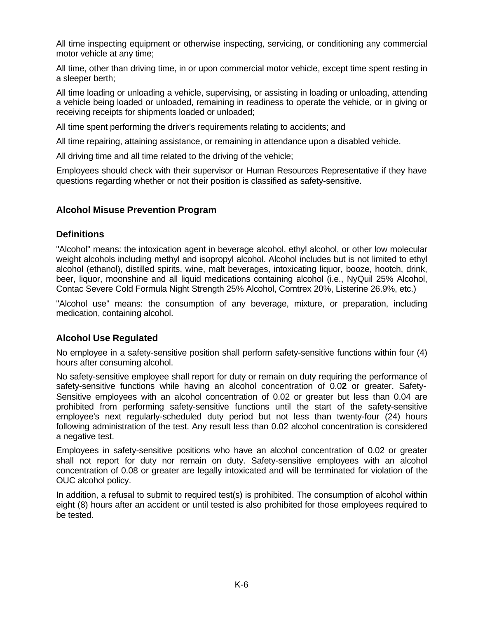All time inspecting equipment or otherwise inspecting, servicing, or conditioning any commercial motor vehicle at any time;

All time, other than driving time, in or upon commercial motor vehicle, except time spent resting in a sleeper berth;

All time loading or unloading a vehicle, supervising, or assisting in loading or unloading, attending a vehicle being loaded or unloaded, remaining in readiness to operate the vehicle, or in giving or receiving receipts for shipments loaded or unloaded;

All time spent performing the driver's requirements relating to accidents; and

All time repairing, attaining assistance, or remaining in attendance upon a disabled vehicle.

All driving time and all time related to the driving of the vehicle;

Employees should check with their supervisor or Human Resources Representative if they have questions regarding whether or not their position is classified as safety-sensitive.

## **Alcohol Misuse Prevention Program**

#### **Definitions**

"Alcohol" means: the intoxication agent in beverage alcohol, ethyl alcohol, or other low molecular weight alcohols including methyl and isopropyl alcohol. Alcohol includes but is not limited to ethyl alcohol (ethanol), distilled spirits, wine, malt beverages, intoxicating liquor, booze, hootch, drink, beer, liquor, moonshine and all liquid medications containing alcohol (i.e., NyQuil 25% Alcohol, Contac Severe Cold Formula Night Strength 25% Alcohol, Comtrex 20%, Listerine 26.9%, etc.)

"Alcohol use" means: the consumption of any beverage, mixture, or preparation, including medication, containing alcohol.

## **Alcohol Use Regulated**

No employee in a safety-sensitive position shall perform safety-sensitive functions within four (4) hours after consuming alcohol.

No safety-sensitive employee shall report for duty or remain on duty requiring the performance of safety-sensitive functions while having an alcohol concentration of 0.0**2** or greater. Safety-Sensitive employees with an alcohol concentration of 0.02 or greater but less than 0.04 are prohibited from performing safety-sensitive functions until the start of the safety-sensitive employee's next regularly-scheduled duty period but not less than twenty-four (24) hours following administration of the test. Any result less than 0.02 alcohol concentration is considered a negative test.

Employees in safety-sensitive positions who have an alcohol concentration of 0.02 or greater shall not report for duty nor remain on duty. Safety-sensitive employees with an alcohol concentration of 0.08 or greater are legally intoxicated and will be terminated for violation of the OUC alcohol policy.

In addition, a refusal to submit to required test(s) is prohibited. The consumption of alcohol within eight (8) hours after an accident or until tested is also prohibited for those employees required to be tested.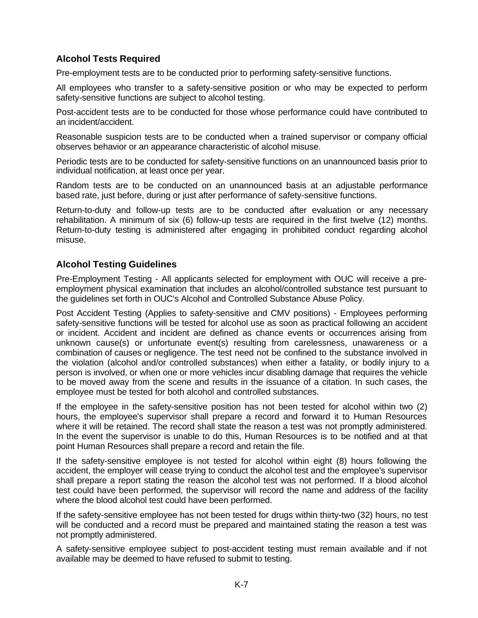## **Alcohol Tests Required**

Pre-employment tests are to be conducted prior to performing safety-sensitive functions.

All employees who transfer to a safety-sensitive position or who may be expected to perform safety-sensitive functions are subject to alcohol testing.

Post-accident tests are to be conducted for those whose performance could have contributed to an incident/accident.

Reasonable suspicion tests are to be conducted when a trained supervisor or company official observes behavior or an appearance characteristic of alcohol misuse.

Periodic tests are to be conducted for safety-sensitive functions on an unannounced basis prior to individual notification, at least once per year.

Random tests are to be conducted on an unannounced basis at an adjustable performance based rate, just before, during or just after performance of safety-sensitive functions.

Return-to-duty and follow-up tests are to be conducted after evaluation or any necessary rehabilitation. A minimum of six (6) follow-up tests are required in the first twelve (12) months. Return-to-duty testing is administered after engaging in prohibited conduct regarding alcohol misuse.

#### **Alcohol Testing Guidelines**

Pre-Employment Testing - All applicants selected for employment with OUC will receive a preemployment physical examination that includes an alcohol/controlled substance test pursuant to the guidelines set forth in OUC's Alcohol and Controlled Substance Abuse Policy.

Post Accident Testing (Applies to safety-sensitive and CMV positions) - Employees performing safety-sensitive functions will be tested for alcohol use as soon as practical following an accident or incident. Accident and incident are defined as chance events or occurrences arising from unknown cause(s) or unfortunate event(s) resulting from carelessness, unawareness or a combination of causes or negligence. The test need not be confined to the substance involved in the violation (alcohol and/or controlled substances) when either a fatality, or bodily injury to a person is involved, or when one or more vehicles incur disabling damage that requires the vehicle to be moved away from the scene and results in the issuance of a citation. In such cases, the employee must be tested for both alcohol and controlled substances.

If the employee in the safety-sensitive position has not been tested for alcohol within two (2) hours, the employee's supervisor shall prepare a record and forward it to Human Resources where it will be retained. The record shall state the reason a test was not promptly administered. In the event the supervisor is unable to do this, Human Resources is to be notified and at that point Human Resources shall prepare a record and retain the file.

If the safety-sensitive employee is not tested for alcohol within eight (8) hours following the accident, the employer will cease trying to conduct the alcohol test and the employee's supervisor shall prepare a report stating the reason the alcohol test was not performed. If a blood alcohol test could have been performed, the supervisor will record the name and address of the facility where the blood alcohol test could have been performed.

If the safety-sensitive employee has not been tested for drugs within thirty-two (32) hours, no test will be conducted and a record must be prepared and maintained stating the reason a test was not promptly administered.

A safety-sensitive employee subject to post-accident testing must remain available and if not available may be deemed to have refused to submit to testing.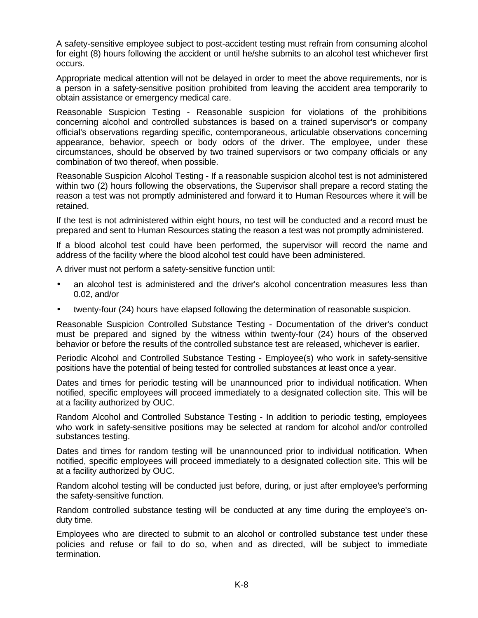A safety-sensitive employee subject to post-accident testing must refrain from consuming alcohol for eight (8) hours following the accident or until he/she submits to an alcohol test whichever first occurs.

Appropriate medical attention will not be delayed in order to meet the above requirements, nor is a person in a safety-sensitive position prohibited from leaving the accident area temporarily to obtain assistance or emergency medical care.

Reasonable Suspicion Testing - Reasonable suspicion for violations of the prohibitions concerning alcohol and controlled substances is based on a trained supervisor's or company official's observations regarding specific, contemporaneous, articulable observations concerning appearance, behavior, speech or body odors of the driver. The employee, under these circumstances, should be observed by two trained supervisors or two company officials or any combination of two thereof, when possible.

Reasonable Suspicion Alcohol Testing - If a reasonable suspicion alcohol test is not administered within two (2) hours following the observations, the Supervisor shall prepare a record stating the reason a test was not promptly administered and forward it to Human Resources where it will be retained.

If the test is not administered within eight hours, no test will be conducted and a record must be prepared and sent to Human Resources stating the reason a test was not promptly administered.

If a blood alcohol test could have been performed, the supervisor will record the name and address of the facility where the blood alcohol test could have been administered.

A driver must not perform a safety-sensitive function until:

- an alcohol test is administered and the driver's alcohol concentration measures less than 0.02, and/or
- twenty-four (24) hours have elapsed following the determination of reasonable suspicion.

Reasonable Suspicion Controlled Substance Testing - Documentation of the driver's conduct must be prepared and signed by the witness within twenty-four (24) hours of the observed behavior or before the results of the controlled substance test are released, whichever is earlier.

Periodic Alcohol and Controlled Substance Testing - Employee(s) who work in safety-sensitive positions have the potential of being tested for controlled substances at least once a year.

Dates and times for periodic testing will be unannounced prior to individual notification. When notified, specific employees will proceed immediately to a designated collection site. This will be at a facility authorized by OUC.

Random Alcohol and Controlled Substance Testing - In addition to periodic testing, employees who work in safety-sensitive positions may be selected at random for alcohol and/or controlled substances testing.

Dates and times for random testing will be unannounced prior to individual notification. When notified, specific employees will proceed immediately to a designated collection site. This will be at a facility authorized by OUC.

Random alcohol testing will be conducted just before, during, or just after employee's performing the safety-sensitive function.

Random controlled substance testing will be conducted at any time during the employee's onduty time.

Employees who are directed to submit to an alcohol or controlled substance test under these policies and refuse or fail to do so, when and as directed, will be subject to immediate termination.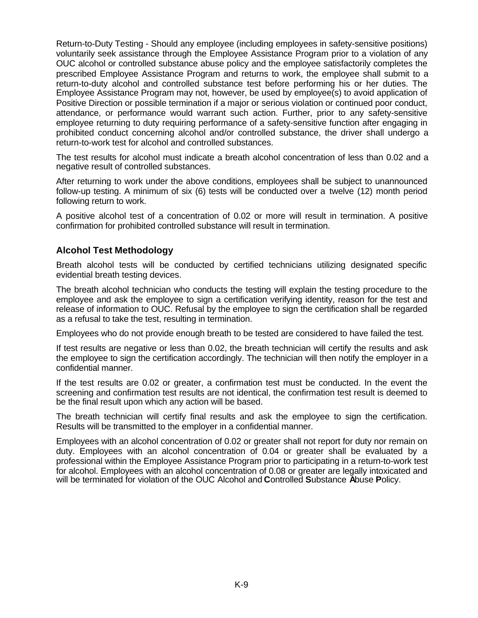Return-to-Duty Testing - Should any employee (including employees in safety-sensitive positions) voluntarily seek assistance through the Employee Assistance Program prior to a violation of any OUC alcohol or controlled substance abuse policy and the employee satisfactorily completes the prescribed Employee Assistance Program and returns to work, the employee shall submit to a return-to-duty alcohol and controlled substance test before performing his or her duties. The Employee Assistance Program may not, however, be used by employee(s) to avoid application of Positive Direction or possible termination if a major or serious violation or continued poor conduct, attendance, or performance would warrant such action. Further, prior to any safety-sensitive employee returning to duty requiring performance of a safety-sensitive function after engaging in prohibited conduct concerning alcohol and/or controlled substance, the driver shall undergo a return-to-work test for alcohol and controlled substances.

The test results for alcohol must indicate a breath alcohol concentration of less than 0.02 and a negative result of controlled substances.

After returning to work under the above conditions, employees shall be subject to unannounced follow-up testing. A minimum of six (6) tests will be conducted over a twelve (12) month period following return to work.

A positive alcohol test of a concentration of 0.02 or more will result in termination. A positive confirmation for prohibited controlled substance will result in termination.

#### **Alcohol Test Methodology**

Breath alcohol tests will be conducted by certified technicians utilizing designated specific evidential breath testing devices.

The breath alcohol technician who conducts the testing will explain the testing procedure to the employee and ask the employee to sign a certification verifying identity, reason for the test and release of information to OUC. Refusal by the employee to sign the certification shall be regarded as a refusal to take the test, resulting in termination.

Employees who do not provide enough breath to be tested are considered to have failed the test.

If test results are negative or less than 0.02, the breath technician will certify the results and ask the employee to sign the certification accordingly. The technician will then notify the employer in a confidential manner.

If the test results are 0.02 or greater, a confirmation test must be conducted. In the event the screening and confirmation test results are not identical, the confirmation test result is deemed to be the final result upon which any action will be based.

The breath technician will certify final results and ask the employee to sign the certification. Results will be transmitted to the employer in a confidential manner.

Employees with an alcohol concentration of 0.02 or greater shall not report for duty nor remain on duty. Employees with an alcohol concentration of 0.04 or greater shall be evaluated by a professional within the Employee Assistance Program prior to participating in a return-to-work test for alcohol. Employees with an alcohol concentration of 0.08 or greater are legally intoxicated and will be terminated for violation of the OUC Alcohol and **C**ontrolled **S**ubstance **A**buse **P**olicy.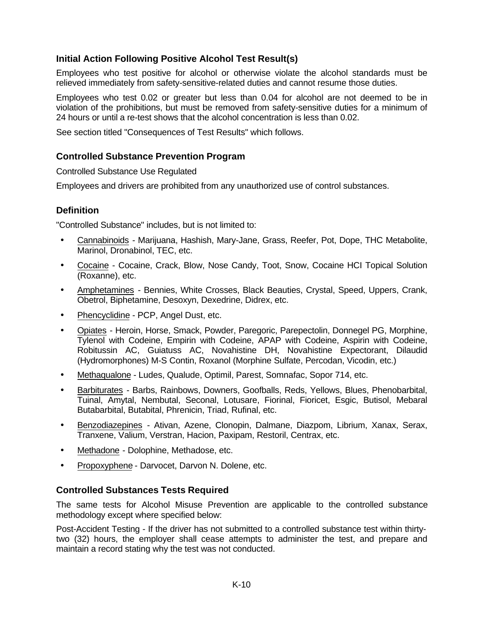# **Initial Action Following Positive Alcohol Test Result(s)**

Employees who test positive for alcohol or otherwise violate the alcohol standards must be relieved immediately from safety-sensitive-related duties and cannot resume those duties.

Employees who test 0.02 or greater but less than 0.04 for alcohol are not deemed to be in violation of the prohibitions, but must be removed from safety-sensitive duties for a minimum of 24 hours or until a re-test shows that the alcohol concentration is less than 0.02.

See section titled "Consequences of Test Results" which follows.

## **Controlled Substance Prevention Program**

Controlled Substance Use Regulated

Employees and drivers are prohibited from any unauthorized use of control substances.

# **Definition**

"Controlled Substance" includes, but is not limited to:

- Cannabinoids Marijuana, Hashish, Mary-Jane, Grass, Reefer, Pot, Dope, THC Metabolite, Marinol, Dronabinol, TEC, etc.
- Cocaine Cocaine, Crack, Blow, Nose Candy, Toot, Snow, Cocaine HCI Topical Solution (Roxanne), etc.
- Amphetamines Bennies, White Crosses, Black Beauties, Crystal, Speed, Uppers, Crank, Obetrol, Biphetamine, Desoxyn, Dexedrine, Didrex, etc.
- Phencyclidine PCP, Angel Dust, etc.
- Opiates Heroin, Horse, Smack, Powder, Paregoric, Parepectolin, Donnegel PG, Morphine, Tylenol with Codeine, Empirin with Codeine, APAP with Codeine, Aspirin with Codeine, Robitussin AC, Guiatuss AC, Novahistine DH, Novahistine Expectorant, Dilaudid (Hydromorphones) M-S Contin, Roxanol (Morphine Sulfate, Percodan, Vicodin, etc.)
- Methaqualone Ludes, Qualude, Optimil, Parest, Somnafac, Sopor 714, etc.
- Barbiturates Barbs, Rainbows, Downers, Goofballs, Reds, Yellows, Blues, Phenobarbital, Tuinal, Amytal, Nembutal, Seconal, Lotusare, Fiorinal, Fioricet, Esgic, Butisol, Mebaral Butabarbital, Butabital, Phrenicin, Triad, Rufinal, etc.
- Benzodiazepines Ativan, Azene, Clonopin, Dalmane, Diazpom, Librium, Xanax, Serax, Tranxene, Valium, Verstran, Hacion, Paxipam, Restoril, Centrax, etc.
- Methadone Dolophine, Methadose, etc.
- Propoxyphene Darvocet, Darvon N. Dolene, etc.

## **Controlled Substances Tests Required**

The same tests for Alcohol Misuse Prevention are applicable to the controlled substance methodology except where specified below:

Post-Accident Testing - If the driver has not submitted to a controlled substance test within thirtytwo (32) hours, the employer shall cease attempts to administer the test, and prepare and maintain a record stating why the test was not conducted.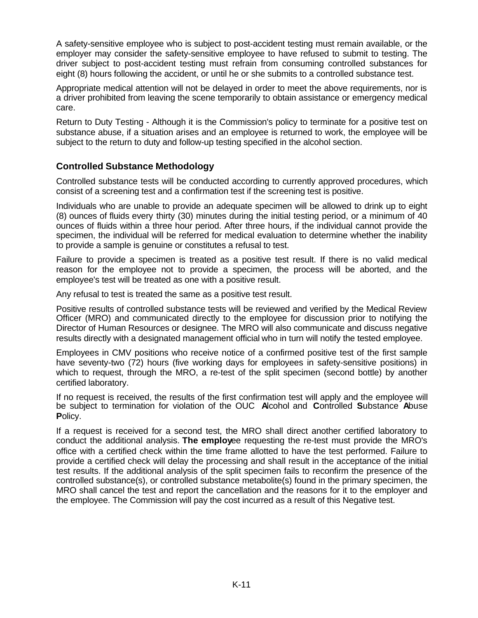A safety-sensitive employee who is subject to post-accident testing must remain available, or the employer may consider the safety-sensitive employee to have refused to submit to testing. The driver subject to post-accident testing must refrain from consuming controlled substances for eight (8) hours following the accident, or until he or she submits to a controlled substance test.

Appropriate medical attention will not be delayed in order to meet the above requirements, nor is a driver prohibited from leaving the scene temporarily to obtain assistance or emergency medical care.

Return to Duty Testing - Although it is the Commission's policy to terminate for a positive test on substance abuse, if a situation arises and an employee is returned to work, the employee will be subject to the return to duty and follow-up testing specified in the alcohol section.

## **Controlled Substance Methodology**

Controlled substance tests will be conducted according to currently approved procedures, which consist of a screening test and a confirmation test if the screening test is positive.

Individuals who are unable to provide an adequate specimen will be allowed to drink up to eight (8) ounces of fluids every thirty (30) minutes during the initial testing period, or a minimum of 40 ounces of fluids within a three hour period. After three hours, if the individual cannot provide the specimen, the individual will be referred for medical evaluation to determine whether the inability to provide a sample is genuine or constitutes a refusal to test.

Failure to provide a specimen is treated as a positive test result. If there is no valid medical reason for the employee not to provide a specimen, the process will be aborted, and the employee's test will be treated as one with a positive result.

Any refusal to test is treated the same as a positive test result.

Positive results of controlled substance tests will be reviewed and verified by the Medical Review Officer (MRO) and communicated directly to the employee for discussion prior to notifying the Director of Human Resources or designee. The MRO will also communicate and discuss negative results directly with a designated management official who in turn will notify the tested employee.

Employees in CMV positions who receive notice of a confirmed positive test of the first sample have seventy-two (72) hours (five working days for employees in safety-sensitive positions) in which to request, through the MRO, a re-test of the split specimen (second bottle) by another certified laboratory.

If no request is received, the results of the first confirmation test will apply and the employee will be subject to termination for violation of the OUC **A**lcohol and **C**ontrolled **S**ubstance **A**buse **P**olicy.

If a request is received for a second test, the MRO shall direct another certified laboratory to conduct the additional analysis. **The employ**ee requesting the re-test must provide the MRO's office with a certified check within the time frame allotted to have the test performed. Failure to provide a certified check will delay the processing and shall result in the acceptance of the initial test results. If the additional analysis of the split specimen fails to reconfirm the presence of the controlled substance(s), or controlled substance metabolite(s) found in the primary specimen, the MRO shall cancel the test and report the cancellation and the reasons for it to the employer and the employee. The Commission will pay the cost incurred as a result of this Negative test.